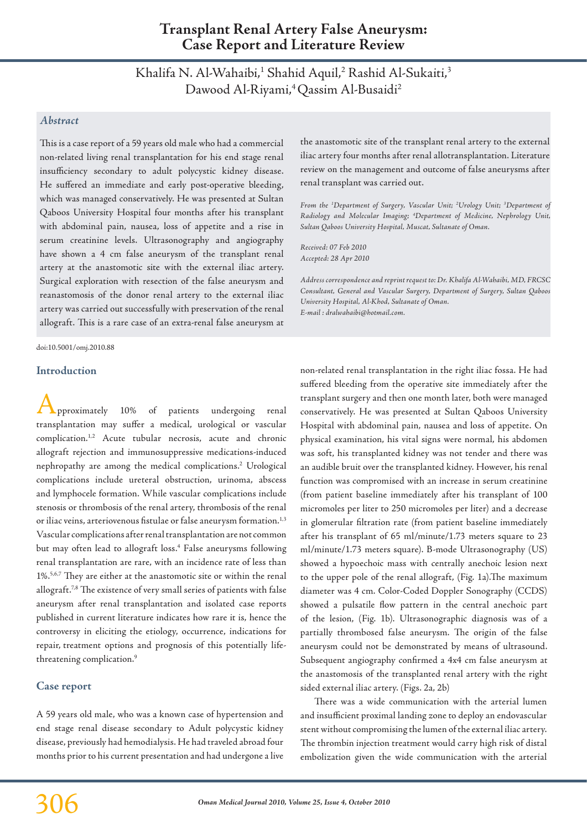# **Transplant Renal Artery False Aneurysm: Case Report and Literature Review**

Khalifa N. Al-Wahaibi,<sup>1</sup> Shahid Aquil,<sup>2</sup> Rashid Al-Sukaiti,<sup>3</sup> Dawood Al-Riyami,<sup>4</sup> Qassim Al-Busaidi<sup>2</sup>

## *Abstract*

This is a case report of a 59 years old male who had a commercial non-related living renal transplantation for his end stage renal insufficiency secondary to adult polycystic kidney disease. He suffered an immediate and early post-operative bleeding, which was managed conservatively. He was presented at Sultan Qaboos University Hospital four months after his transplant with abdominal pain, nausea, loss of appetite and a rise in serum creatinine levels. Ultrasonography and angiography have shown a 4 cm false aneurysm of the transplant renal artery at the anastomotic site with the external iliac artery. Surgical exploration with resection of the false aneurysm and reanastomosis of the donor renal artery to the external iliac artery was carried out successfully with preservation of the renal allograft. This is a rare case of an extra-renal false aneurysm at

doi:10.5001/omj.2010.88

#### **Introduction**

pproximately 10% of patients undergoing renal transplantation may suffer a medical, urological or vascular complication.1,2 Acute tubular necrosis, acute and chronic allograft rejection and immunosuppressive medications-induced nephropathy are among the medical complications.2 Urological complications include ureteral obstruction, urinoma, abscess and lymphocele formation. While vascular complications include stenosis or thrombosis of the renal artery, thrombosis of the renal or iliac veins, arteriovenous fistulae or false aneurysm formation.<sup>1,3</sup> Vascular complications after renal transplantation are not common but may often lead to allograft loss.4 False aneurysms following renal transplantation are rare, with an incidence rate of less than 1%.5,6,7 They are either at the anastomotic site or within the renal allograft.7,8 The existence of very small series of patients with false aneurysm after renal transplantation and isolated case reports published in current literature indicates how rare it is, hence the controversy in eliciting the etiology, occurrence, indications for repair, treatment options and prognosis of this potentially lifethreatening complication.9

#### **Case report**

A 59 years old male, who was a known case of hypertension and end stage renal disease secondary to Adult polycystic kidney disease, previously had hemodialysis. He had traveled abroad four months prior to his current presentation and had undergone a live

the anastomotic site of the transplant renal artery to the external iliac artery four months after renal allotransplantation. Literature review on the management and outcome of false aneurysms after renal transplant was carried out.

*From the 1 Department of Surgery, Vascular Unit; 2 Urology Unit; 3 Department of Radiology and Molecular Imaging; 4 Department of Medicine, Nephrology Unit, Sultan Qaboos University Hospital, Muscat, Sultanate of Oman.* 

*Received: 07 Feb 2010 Accepted: 28 Apr 2010*

*Address correspondence and reprint request to: Dr. Khalifa Al-Wahaibi, MD, FRCSC Consultant, General and Vascular Surgery, Department of Surgery, Sultan Qaboos University Hospital, Al-Khod, Sultanate of Oman. E-mail : dralwahaibi@hotmail.com.*

non-related renal transplantation in the right iliac fossa. He had suffered bleeding from the operative site immediately after the transplant surgery and then one month later, both were managed conservatively. He was presented at Sultan Qaboos University Hospital with abdominal pain, nausea and loss of appetite. On physical examination, his vital signs were normal, his abdomen was soft, his transplanted kidney was not tender and there was an audible bruit over the transplanted kidney. However, his renal function was compromised with an increase in serum creatinine (from patient baseline immediately after his transplant of 100 micromoles per liter to 250 micromoles per liter) and a decrease in glomerular filtration rate (from patient baseline immediately after his transplant of 65 ml/minute/1.73 meters square to 23 ml/minute/1.73 meters square). B-mode Ultrasonography (US) showed a hypoechoic mass with centrally anechoic lesion next to the upper pole of the renal allograft, (Fig. 1a).The maximum diameter was 4 cm. Color-Coded Doppler Sonography (CCDS) showed a pulsatile flow pattern in the central anechoic part of the lesion, (Fig. 1b). Ultrasonographic diagnosis was of a partially thrombosed false aneurysm. The origin of the false aneurysm could not be demonstrated by means of ultrasound. Subsequent angiography confirmed a 4x4 cm false aneurysm at the anastomosis of the transplanted renal artery with the right sided external iliac artery. (Figs. 2a, 2b)

There was a wide communication with the arterial lumen and insufficient proximal landing zone to deploy an endovascular stent without compromising the lumen of the external iliac artery. The thrombin injection treatment would carry high risk of distal embolization given the wide communication with the arterial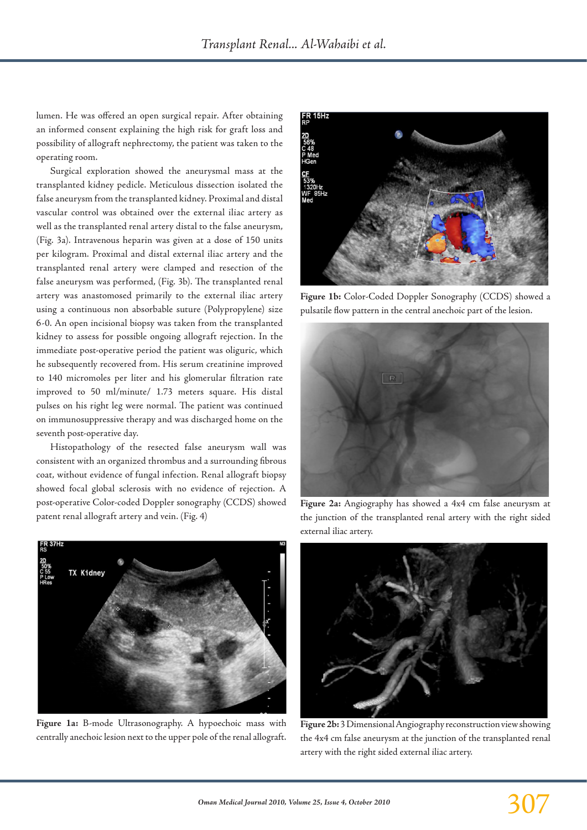lumen. He was offered an open surgical repair. After obtaining an informed consent explaining the high risk for graft loss and possibility of allograft nephrectomy, the patient was taken to the operating room.

Surgical exploration showed the aneurysmal mass at the transplanted kidney pedicle. Meticulous dissection isolated the false aneurysm from the transplanted kidney. Proximal and distal vascular control was obtained over the external iliac artery as well as the transplanted renal artery distal to the false aneurysm, (Fig. 3a). Intravenous heparin was given at a dose of 150 units per kilogram. Proximal and distal external iliac artery and the transplanted renal artery were clamped and resection of the false aneurysm was performed, (Fig. 3b). The transplanted renal artery was anastomosed primarily to the external iliac artery using a continuous non absorbable suture (Polypropylene) size 6-0. An open incisional biopsy was taken from the transplanted kidney to assess for possible ongoing allograft rejection. In the immediate post-operative period the patient was oliguric, which he subsequently recovered from. His serum creatinine improved to 140 micromoles per liter and his glomerular filtration rate improved to 50 ml/minute/ 1.73 meters square. His distal pulses on his right leg were normal. The patient was continued on immunosuppressive therapy and was discharged home on the seventh post-operative day.

Histopathology of the resected false aneurysm wall was consistent with an organized thrombus and a surrounding fibrous coat, without evidence of fungal infection. Renal allograft biopsy showed focal global sclerosis with no evidence of rejection. A post-operative Color-coded Doppler sonography (CCDS) showed patent renal allograft artery and vein. (Fig. 4)



**Figure 1b:** Color-Coded Doppler Sonography (CCDS) showed a pulsatile flow pattern in the central anechoic part of the lesion.



**Figure 2a:** Angiography has showed a 4x4 cm false aneurysm at the junction of the transplanted renal artery with the right sided external iliac artery.



**Figure 1a:** B-mode Ultrasonography. A hypoechoic mass with centrally anechoic lesion next to the upper pole of the renal allograft.



**Figure 2b:** 3 Dimensional Angiography reconstruction view showing the 4x4 cm false aneurysm at the junction of the transplanted renal artery with the right sided external iliac artery.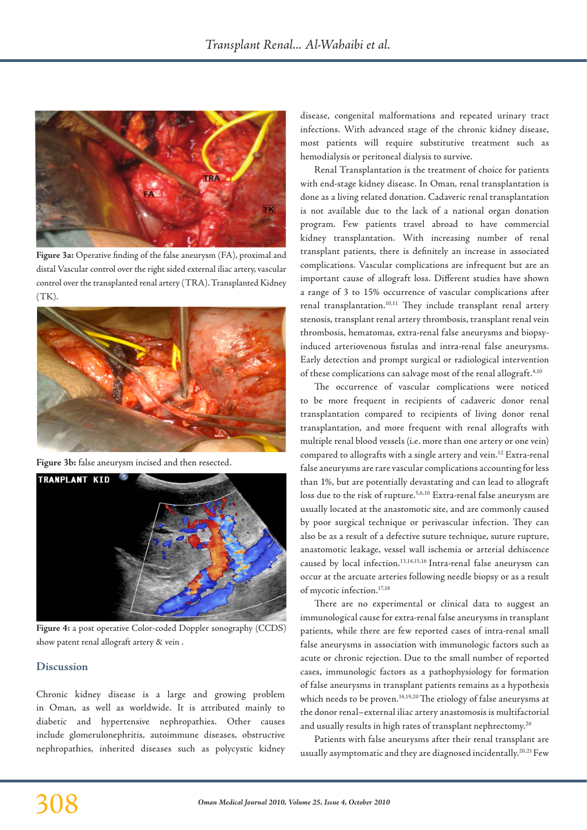

**Figure 3a:** Operative finding of the false aneurysm (FA), proximal and distal Vascular control over the right sided external iliac artery, vascular control over the transplanted renal artery (TRA). Transplanted Kidney (TK).



**Figure 3b:** false aneurysm incised and then resected.



**Figure 4:** a post operative Color-coded Doppler sonography (CCDS) show patent renal allograft artery & vein .

## **Discussion**

Chronic kidney disease is a large and growing problem in Oman, as well as worldwide. It is attributed mainly to diabetic and hypertensive nephropathies. Other causes include glomerulonephritis, autoimmune diseases, obstructive nephropathies, inherited diseases such as polycystic kidney

disease, congenital malformations and repeated urinary tract infections. With advanced stage of the chronic kidney disease, most patients will require substitutive treatment such as hemodialysis or peritoneal dialysis to survive.

Renal Transplantation is the treatment of choice for patients with end-stage kidney disease. In Oman, renal transplantation is done as a living related donation. Cadaveric renal transplantation is not available due to the lack of a national organ donation program. Few patients travel abroad to have commercial kidney transplantation. With increasing number of renal transplant patients, there is definitely an increase in associated complications. Vascular complications are infrequent but are an important cause of allograft loss. Different studies have shown a range of 3 to 15% occurrence of vascular complications after renal transplantation.<sup>10,11</sup> They include transplant renal artery stenosis, transplant renal artery thrombosis, transplant renal vein thrombosis, hematomas, extra-renal false aneurysms and biopsyinduced arteriovenous fistulas and intra-renal false aneurysms. Early detection and prompt surgical or radiological intervention of these complications can salvage most of the renal allograft.<sup>4,10</sup>

The occurrence of vascular complications were noticed to be more frequent in recipients of cadaveric donor renal transplantation compared to recipients of living donor renal transplantation, and more frequent with renal allografts with multiple renal blood vessels (i.e. more than one artery or one vein) compared to allografts with a single artery and vein.<sup>12</sup> Extra-renal false aneurysms are rare vascular complications accounting for less than 1%, but are potentially devastating and can lead to allograft loss due to the risk of rupture.<sup>5,6,10</sup> Extra-renal false aneurysm are usually located at the anastomotic site, and are commonly caused by poor surgical technique or perivascular infection. They can also be as a result of a defective suture technique, suture rupture, anastomotic leakage, vessel wall ischemia or arterial dehiscence caused by local infection.13,14,15,16 Intra-renal false aneurysm can occur at the arcuate arteries following needle biopsy or as a result of mycotic infection.17,18

There are no experimental or clinical data to suggest an immunological cause for extra-renal false aneurysms in transplant patients, while there are few reported cases of intra-renal small false aneurysms in association with immunologic factors such as acute or chronic rejection. Due to the small number of reported cases, immunologic factors as a pathophysiology for formation of false aneurysms in transplant patients remains as a hypothesis which needs to be proven.<sup>14,19,20</sup> The etiology of false aneurysms at the donor renal–external iliac artery anastomosis is multifactorial and usually results in high rates of transplant nephrectomy.<sup>20</sup>

Patients with false aneurysms after their renal transplant are usually asymptomatic and they are diagnosed incidentally.20,21 Few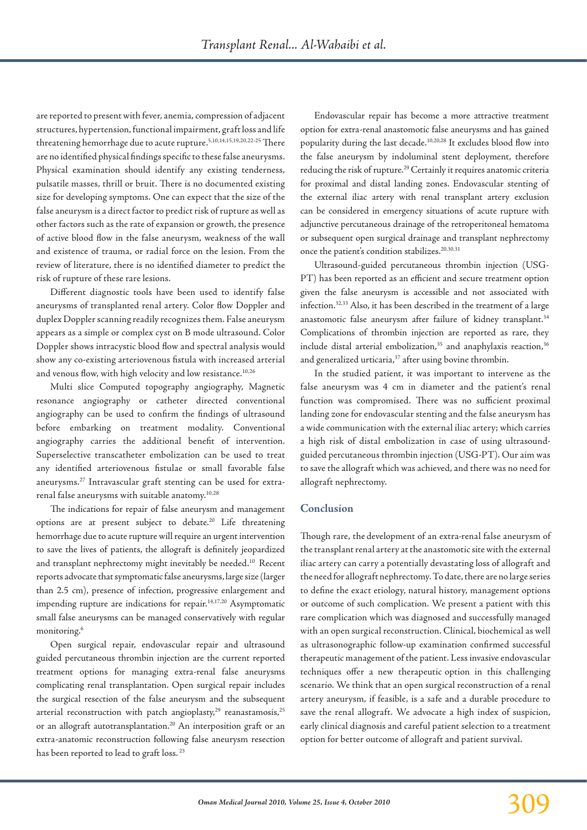are reported to present with fever, anemia, compression of adjacent structures, hypertension, functional impairment, graft loss and life threatening hemorrhage due to acute rupture.<sup>5,10,14,15,19,20,22-25</sup> There are no identified physical findings specific to these false aneurysms. Physical examination should identify any existing tenderness, pulsatile masses, thrill or bruit. There is no documented existing size for developing symptoms. One can expect that the size of the false aneurysm is a direct factor to predict risk of rupture as well as other factors such as the rate of expansion or growth, the presence of active blood flow in the false aneurysm, weakness of the wall and existence of trauma, or radial force on the lesion. From the review of literature, there is no identified diameter to predict the risk of rupture of these rare lesions.

Different diagnostic tools have been used to identify false aneurysms of transplanted renal artery. Color flow Doppler and duplex Doppler scanning readily recognizes them. False aneurysm appears as a simple or complex cyst on B mode ultrasound. Color Doppler shows intracystic blood flow and spectral analysis would show any co-existing arteriovenous fistula with increased arterial and venous flow, with high velocity and low resistance.<sup>10,26</sup>

Multi slice Computed topography angiography, Magnetic resonance angiography or catheter directed conventional angiography can be used to confirm the findings of ultrasound before embarking on treatment modality. Conventional angiography carries the additional benefit of intervention. Superselective transcatheter embolization can be used to treat any identified arteriovenous fistulae or small favorable false aneurysms.27 Intravascular graft stenting can be used for extrarenal false aneurysms with suitable anatomy.10,28

The indications for repair of false aneurysm and management options are at present subject to debate.20 Life threatening hemorrhage due to acute rupture will require an urgent intervention to save the lives of patients, the allograft is definitely jeopardized and transplant nephrectomy might inevitably be needed.<sup>10</sup> Recent reports advocate that symptomatic false aneurysms, large size (larger than 2.5 cm), presence of infection, progressive enlargement and impending rupture are indications for repair.<sup>14,17,20</sup> Asymptomatic small false aneurysms can be managed conservatively with regular monitoring.6

Open surgical repair, endovascular repair and ultrasound guided percutaneous thrombin injection are the current reported treatment options for managing extra-renal false aneurysms complicating renal transplantation. Open surgical repair includes the surgical resection of the false aneurysm and the subsequent arterial reconstruction with patch angioplasty,<sup>29</sup> reanastamosis,<sup>25</sup> or an allograft autotransplantation.<sup>20</sup> An interposition graft or an extra-anatomic reconstruction following false aneurysm resection has been reported to lead to graft loss.<sup>23</sup>

Endovascular repair has become a more attractive treatment option for extra-renal anastomotic false aneurysms and has gained popularity during the last decade.10,20,28 It excludes blood flow into the false aneurysm by indoluminal stent deployment, therefore reducing the risk of rupture.<sup>29</sup> Certainly it requires anatomic criteria for proximal and distal landing zones. Endovascular stenting of the external iliac artery with renal transplant artery exclusion can be considered in emergency situations of acute rupture with adjunctive percutaneous drainage of the retroperitoneal hematoma or subsequent open surgical drainage and transplant nephrectomy once the patient's condition stabilizes.<sup>20,30,31</sup>

Ultrasound-guided percutaneous thrombin injection (USG-PT) has been reported as an efficient and secure treatment option given the false aneurysm is accessible and not associated with infection.32,33 Also, it has been described in the treatment of a large anastomotic false aneurysm after failure of kidney transplant.<sup>34</sup> Complications of thrombin injection are reported as rare, they include distal arterial embolization, $35$  and anaphylaxis reaction, $36$ and generalized urticaria,<sup>37</sup> after using bovine thrombin.

In the studied patient, it was important to intervene as the false aneurysm was 4 cm in diameter and the patient's renal function was compromised. There was no sufficient proximal landing zone for endovascular stenting and the false aneurysm has a wide communication with the external iliac artery; which carries a high risk of distal embolization in case of using ultrasoundguided percutaneous thrombin injection (USG-PT). Our aim was to save the allograft which was achieved, and there was no need for allograft nephrectomy.

## **Conclusion**

Though rare, the development of an extra-renal false aneurysm of the transplant renal artery at the anastomotic site with the external iliac artery can carry a potentially devastating loss of allograft and the need for allograft nephrectomy. To date, there are no large series to define the exact etiology, natural history, management options or outcome of such complication. We present a patient with this rare complication which was diagnosed and successfully managed with an open surgical reconstruction. Clinical, biochemical as well as ultrasonographic follow-up examination confirmed successful therapeutic management of the patient. Less invasive endovascular techniques offer a new therapeutic option in this challenging scenario. We think that an open surgical reconstruction of a renal artery aneurysm, if feasible, is a safe and a durable procedure to save the renal allograft. We advocate a high index of suspicion, early clinical diagnosis and careful patient selection to a treatment option for better outcome of allograft and patient survival.